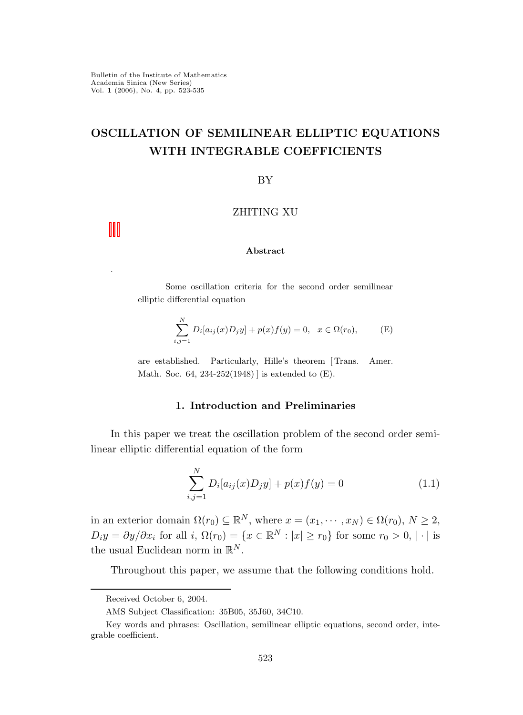.

# OSCILLATION OF SEMILINEAR ELLIPTIC EQUATIONS WITH INTEGRABLE COEFFICIENTS

### BY

# ZHITING XU

### Abstract

Some oscillation criteria for the second order semilinear elliptic differential equation

$$
\sum_{i,j=1}^{N} D_i[a_{ij}(x)D_jy] + p(x)f(y) = 0, \quad x \in \Omega(r_0),
$$
 (E)

are established. Particularly, Hille's theorem [ Trans. Amer. Math. Soc. 64, 234-252(1948) ] is extended to (E).

# 1. Introduction and Preliminaries

In this paper we treat the oscillation problem of the second order semilinear elliptic differential equation of the form

$$
\sum_{i,j=1}^{N} D_i[a_{ij}(x)D_jy] + p(x)f(y) = 0
$$
\n(1.1)

in an exterior domain  $\Omega(r_0) \subseteq \mathbb{R}^N$ , where  $x = (x_1, \dots, x_N) \in \Omega(r_0)$ ,  $N \ge 2$ ,  $D_i y = \partial y / \partial x_i$  for all  $i, \Omega(r_0) = \{x \in \mathbb{R}^N : |x| \ge r_0\}$  for some  $r_0 > 0, |\cdot|$  is the usual Euclidean norm in  $\mathbb{R}^N$ .

Throughout this paper, we assume that the following conditions hold.

Received October 6, 2004.

AMS Subject Classification: 35B05, 35J60, 34C10.

Key words and phrases: Oscillation, semilinear elliptic equations, second order, integrable coefficient.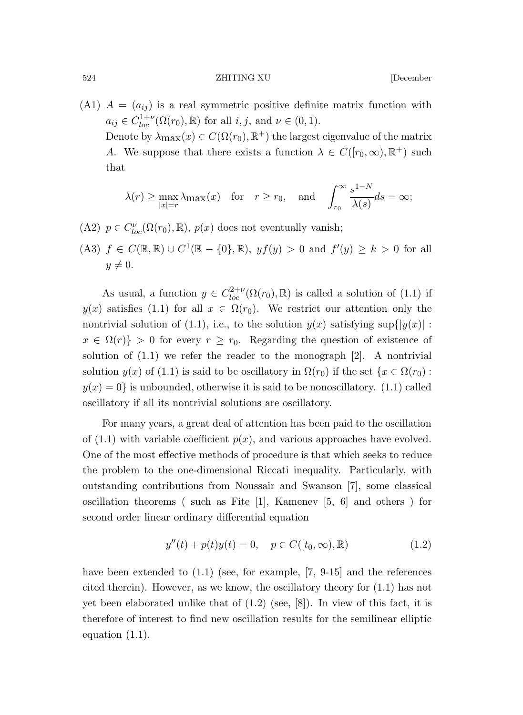524 ZHITING XU [December

(A1)  $A = (a_{ij})$  is a real symmetric positive definite matrix function with  $a_{ij} \in C_{loc}^{1+\nu}(\Omega(r_0), \mathbb{R})$  for all  $i, j$ , and  $\nu \in (0, 1)$ .

Denote by  $\lambda_{\max}(x) \in C(\Omega(r_0), \mathbb{R}^+)$  the largest eigenvalue of the matrix A. We suppose that there exists a function  $\lambda \in C([r_0,\infty),\mathbb{R}^+)$  such that

$$
\lambda(r) \ge \max_{|x|=r} \lambda_{\max}(x)
$$
 for  $r \ge r_0$ , and  $\int_{r_0}^{\infty} \frac{s^{1-N}}{\lambda(s)} ds = \infty$ ;

(A2)  $p \in C_{loc}^{\nu}(\Omega(r_0), \mathbb{R}), p(x)$  does not eventually vanish;

(A3) 
$$
f \in C(\mathbb{R}, \mathbb{R}) \cup C^1(\mathbb{R} - \{0\}, \mathbb{R}), yf(y) > 0 \text{ and } f'(y) \ge k > 0 \text{ for all } y \neq 0.
$$

As usual, a function  $y \in C^{2+\nu}_{loc}(\Omega(r_0), \mathbb{R})$  is called a solution of (1.1) if  $y(x)$  satisfies (1.1) for all  $x \in \Omega(r_0)$ . We restrict our attention only the nontrivial solution of (1.1), i.e., to the solution  $y(x)$  satisfying sup $\{y(x) :$  $x \in \Omega(r)$  > 0 for every  $r \geq r_0$ . Regarding the question of existence of solution of  $(1.1)$  we refer the reader to the monograph  $[2]$ . A nontrivial solution  $y(x)$  of (1.1) is said to be oscillatory in  $\Omega(r_0)$  if the set  $\{x \in \Omega(r_0):$  $y(x) = 0$  is unbounded, otherwise it is said to be nonoscillatory. (1.1) called oscillatory if all its nontrivial solutions are oscillatory.

For many years, a great deal of attention has been paid to the oscillation of  $(1.1)$  with variable coefficient  $p(x)$ , and various approaches have evolved. One of the most effective methods of procedure is that which seeks to reduce the problem to the one-dimensional Riccati inequality. Particularly, with outstanding contributions from Noussair and Swanson [7], some classical oscillation theorems ( such as Fite [1], Kamenev [5, 6] and others ) for second order linear ordinary differential equation

$$
y''(t) + p(t)y(t) = 0, \quad p \in C([t_0, \infty), \mathbb{R})
$$
\n(1.2)

have been extended to  $(1.1)$  (see, for example, [7, 9-15] and the references cited therein). However, as we know, the oscillatory theory for (1.1) has not yet been elaborated unlike that of (1.2) (see, [8]). In view of this fact, it is therefore of interest to find new oscillation results for the semilinear elliptic equation (1.1).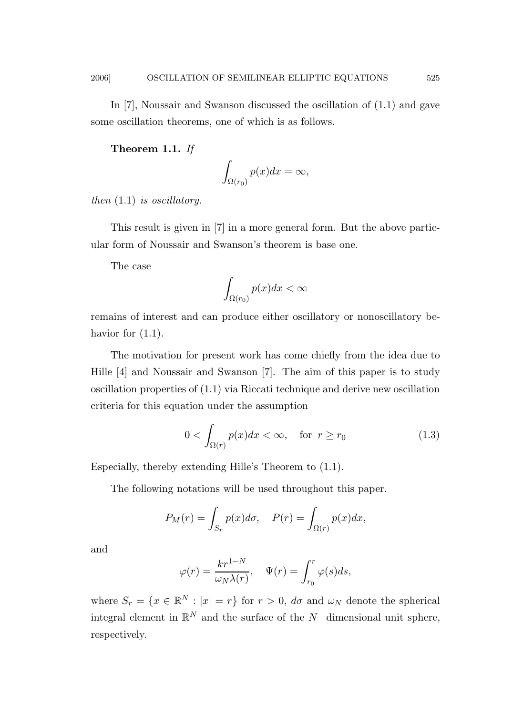In [7], Noussair and Swanson discussed the oscillation of (1.1) and gave some oscillation theorems, one of which is as follows.

Theorem 1.1. If

$$
\int_{\Omega(r_0)} p(x)dx = \infty,
$$

then  $(1.1)$  is oscillatory.

This result is given in [7] in a more general form. But the above particular form of Noussair and Swanson's theorem is base one.

The case

$$
\int_{\Omega(r_0)} p(x)dx < \infty
$$

remains of interest and can produce either oscillatory or nonoscillatory behavior for  $(1.1)$ .

The motivation for present work has come chiefly from the idea due to Hille [4] and Noussair and Swanson [7]. The aim of this paper is to study oscillation properties of (1.1) via Riccati technique and derive new oscillation criteria for this equation under the assumption

$$
0 < \int_{\Omega(r)} p(x)dx < \infty, \quad \text{for } r \ge r_0 \tag{1.3}
$$

Especially, thereby extending Hille's Theorem to (1.1).

The following notations will be used throughout this paper.

$$
P_M(r) = \int_{S_r} p(x)d\sigma, \quad P(r) = \int_{\Omega(r)} p(x)dx,
$$

and

$$
\varphi(r) = \frac{kr^{1-N}}{\omega_N \lambda(r)}, \quad \Psi(r) = \int_{r_0}^r \varphi(s) ds,
$$

where  $S_r = \{x \in \mathbb{R}^N : |x| = r\}$  for  $r > 0$ ,  $d\sigma$  and  $\omega_N$  denote the spherical integral element in  $\mathbb{R}^N$  and the surface of the N-dimensional unit sphere, respectively.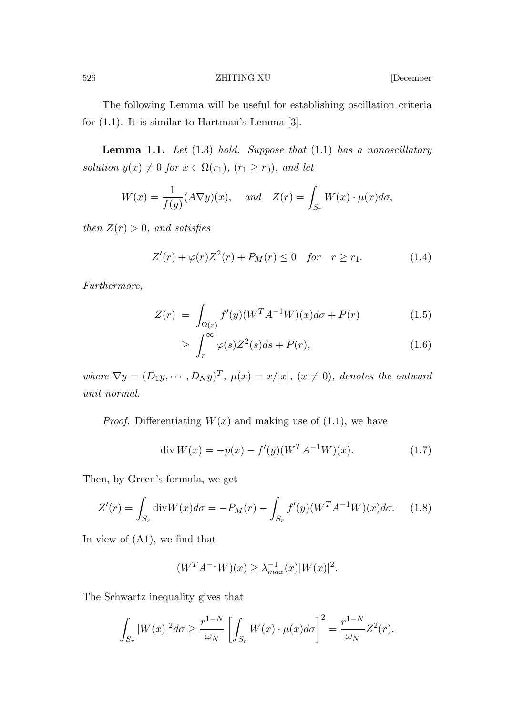526 ZHITING XU [December

The following Lemma will be useful for establishing oscillation criteria for (1.1). It is similar to Hartman's Lemma [3].

**Lemma 1.1.** Let  $(1.3)$  hold. Suppose that  $(1.1)$  has a nonoscillatory solution  $y(x) \neq 0$  for  $x \in \Omega(r_1)$ ,  $(r_1 \geq r_0)$ , and let

$$
W(x) = \frac{1}{f(y)} (A\nabla y)(x), \quad and \quad Z(r) = \int_{S_r} W(x) \cdot \mu(x) d\sigma,
$$

then  $Z(r) > 0$ , and satisfies

$$
Z'(r) + \varphi(r)Z^{2}(r) + P_{M}(r) \leq 0 \quad \text{for} \quad r \geq r_{1}.
$$
 (1.4)

Furthermore,

$$
Z(r) = \int_{\Omega(r)} f'(y) (W^T A^{-1} W)(x) d\sigma + P(r)
$$
 (1.5)

$$
\geq \int_{r}^{\infty} \varphi(s) Z^2(s) ds + P(r), \tag{1.6}
$$

where  $\nabla y = (D_1y, \dots, D_Ny)^T$ ,  $\mu(x) = x/|x|$ ,  $(x \neq 0)$ , denotes the outward unit normal.

*Proof.* Differentiating  $W(x)$  and making use of (1.1), we have

$$
\operatorname{div} W(x) = -p(x) - f'(y)(W^T A^{-1} W)(x). \tag{1.7}
$$

Then, by Green's formula, we get

$$
Z'(r) = \int_{S_r} \text{div}W(x)d\sigma = -P_M(r) - \int_{S_r} f'(y)(W^T A^{-1} W)(x)d\sigma.
$$
 (1.8)

In view of (A1), we find that

$$
(W^{T}A^{-1}W)(x) \geq \lambda_{max}^{-1}(x)|W(x)|^{2}.
$$

The Schwartz inequality gives that

$$
\int_{S_r} |W(x)|^2 d\sigma \ge \frac{r^{1-N}}{\omega_N} \left[ \int_{S_r} W(x) \cdot \mu(x) d\sigma \right]^2 = \frac{r^{1-N}}{\omega_N} Z^2(r).
$$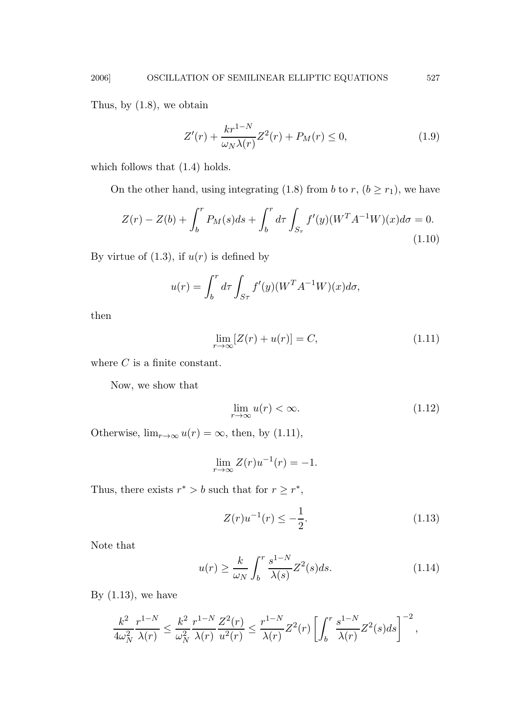Thus, by (1.8), we obtain

$$
Z'(r) + \frac{kr^{1-N}}{\omega_N \lambda(r)} Z^2(r) + P_M(r) \le 0,
$$
\n(1.9)

which follows that  $(1.4)$  holds.

On the other hand, using integrating (1.8) from b to r,  $(b \ge r_1)$ , we have

$$
Z(r) - Z(b) + \int_b^r P_M(s)ds + \int_b^r d\tau \int_{S_\tau} f'(y)(W^T A^{-1} W)(x)d\sigma = 0.
$$
\n(1.10)

By virtue of  $(1.3)$ , if  $u(r)$  is defined by

$$
u(r) = \int_b^r d\tau \int_{S\tau} f'(y) (W^T A^{-1} W)(x) d\sigma,
$$

then

$$
\lim_{r \to \infty} [Z(r) + u(r)] = C,\tag{1.11}
$$

where  $C$  is a finite constant.

Now, we show that

$$
\lim_{r \to \infty} u(r) < \infty. \tag{1.12}
$$

Otherwise,  $\lim_{r\to\infty} u(r) = \infty$ , then, by (1.11),

$$
\lim_{r \to \infty} Z(r)u^{-1}(r) = -1.
$$

Thus, there exists  $r^* > b$  such that for  $r \geq r^*$ ,

$$
Z(r)u^{-1}(r) \le -\frac{1}{2}.\tag{1.13}
$$

Note that

$$
u(r) \ge \frac{k}{\omega_N} \int_b^r \frac{s^{1-N}}{\lambda(s)} Z^2(s) ds.
$$
 (1.14)

By  $(1.13)$ , we have

$$
\frac{k^2}{4\omega_N^2} \frac{r^{1-N}}{\lambda(r)} \le \frac{k^2}{\omega_N^2} \frac{r^{1-N}}{\lambda(r)} \frac{Z^2(r)}{u^2(r)} \le \frac{r^{1-N}}{\lambda(r)} Z^2(r) \left[ \int_b^r \frac{s^{1-N}}{\lambda(r)} Z^2(s) ds \right]^{-2},
$$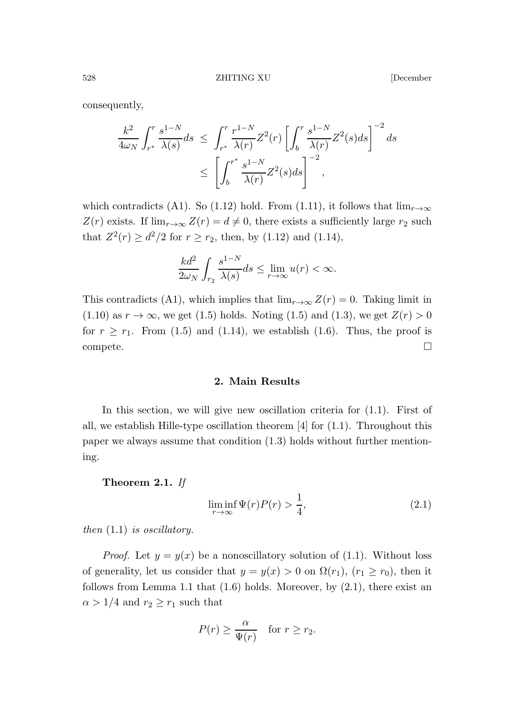consequently,

$$
\frac{k^2}{4\omega_N} \int_{r^*}^r \frac{s^{1-N}}{\lambda(s)} ds \le \int_{r^*}^r \frac{r^{1-N}}{\lambda(r)} Z^2(r) \left[ \int_b^r \frac{s^{1-N}}{\lambda(r)} Z^2(s) ds \right]^{-2} ds
$$
  

$$
\le \left[ \int_b^{r^*} \frac{s^{1-N}}{\lambda(r)} Z^2(s) ds \right]^{-2},
$$

which contradicts (A1). So (1.12) hold. From (1.11), it follows that  $\lim_{r\to\infty}$  $Z(r)$  exists. If  $\lim_{r\to\infty} Z(r) = d \neq 0$ , there exists a sufficiently large  $r_2$  such that  $Z^2(r) \ge d^2/2$  for  $r \ge r_2$ , then, by (1.12) and (1.14),

$$
\frac{kd^2}{2\omega_N} \int_{r_2} \frac{s^{1-N}}{\lambda(s)} ds \le \lim_{r \to \infty} u(r) < \infty.
$$

This contradicts (A1), which implies that  $\lim_{r\to\infty} Z(r) = 0$ . Taking limit in  $(1.10)$  as  $r \to \infty$ , we get  $(1.5)$  holds. Noting  $(1.5)$  and  $(1.3)$ , we get  $Z(r) > 0$ for  $r \ge r_1$ . From (1.5) and (1.14), we establish (1.6). Thus, the proof is  $\Box$ compete.  $\Box$ 

2. Main Results

In this section, we will give new oscillation criteria for  $(1.1)$ . First of all, we establish Hille-type oscillation theorem [4] for (1.1). Throughout this paper we always assume that condition (1.3) holds without further mentioning.

## Theorem 2.1. If

$$
\liminf_{r \to \infty} \Psi(r)P(r) > \frac{1}{4},\tag{2.1}
$$

then  $(1.1)$  is oscillatory.

*Proof.* Let  $y = y(x)$  be a nonoscillatory solution of (1.1). Without loss of generality, let us consider that  $y = y(x) > 0$  on  $\Omega(r_1)$ ,  $(r_1 \ge r_0)$ , then it follows from Lemma 1.1 that  $(1.6)$  holds. Moreover, by  $(2.1)$ , there exist an  $\alpha > 1/4$  and  $r_2 \geq r_1$  such that

$$
P(r) \ge \frac{\alpha}{\Psi(r)} \quad \text{for } r \ge r_2.
$$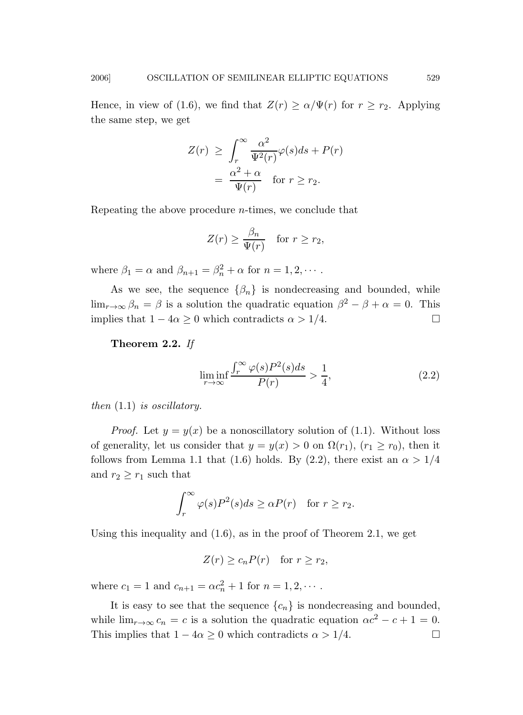Hence, in view of (1.6), we find that  $Z(r) \ge \alpha/\Psi(r)$  for  $r \ge r_2$ . Applying the same step, we get

$$
Z(r) \geq \int_r^{\infty} \frac{\alpha^2}{\Psi^2(r)} \varphi(s) ds + P(r)
$$
  
= 
$$
\frac{\alpha^2 + \alpha}{\Psi(r)} \quad \text{for } r \geq r_2.
$$

Repeating the above procedure n-times, we conclude that

$$
Z(r) \ge \frac{\beta_n}{\Psi(r)} \quad \text{for } r \ge r_2,
$$

where  $\beta_1 = \alpha$  and  $\beta_{n+1} = \beta_n^2 + \alpha$  for  $n = 1, 2, \cdots$ .

As we see, the sequence  $\{\beta_n\}$  is nondecreasing and bounded, while  $\lim_{r\to\infty}\beta_n = \beta$  is a solution the quadratic equation  $\beta^2 - \beta + \alpha = 0$ . This implies that  $1 - 4\alpha \geq 0$  which contradicts  $\alpha > 1/4$ .

Theorem 2.2. If

$$
\liminf_{r \to \infty} \frac{\int_r^{\infty} \varphi(s) P^2(s) ds}{P(r)} > \frac{1}{4},\tag{2.2}
$$

then  $(1.1)$  is oscillatory.

*Proof.* Let  $y = y(x)$  be a nonoscillatory solution of (1.1). Without loss of generality, let us consider that  $y = y(x) > 0$  on  $\Omega(r_1)$ ,  $(r_1 \ge r_0)$ , then it follows from Lemma 1.1 that (1.6) holds. By (2.2), there exist an  $\alpha > 1/4$ and  $r_2 \geq r_1$  such that

$$
\int_r^{\infty} \varphi(s) P^2(s) ds \ge \alpha P(r) \quad \text{for } r \ge r_2.
$$

Using this inequality and (1.6), as in the proof of Theorem 2.1, we get

$$
Z(r) \ge c_n P(r) \quad \text{for } r \ge r_2,
$$

where  $c_1 = 1$  and  $c_{n+1} = \alpha c_n^2 + 1$  for  $n = 1, 2, \cdots$ .

It is easy to see that the sequence  ${c_n}$  is nondecreasing and bounded, while  $\lim_{r\to\infty} c_n = c$  is a solution the quadratic equation  $\alpha c^2 - c + 1 = 0$ . This implies that  $1 - 4\alpha \geq 0$  which contradicts  $\alpha > 1/4$ .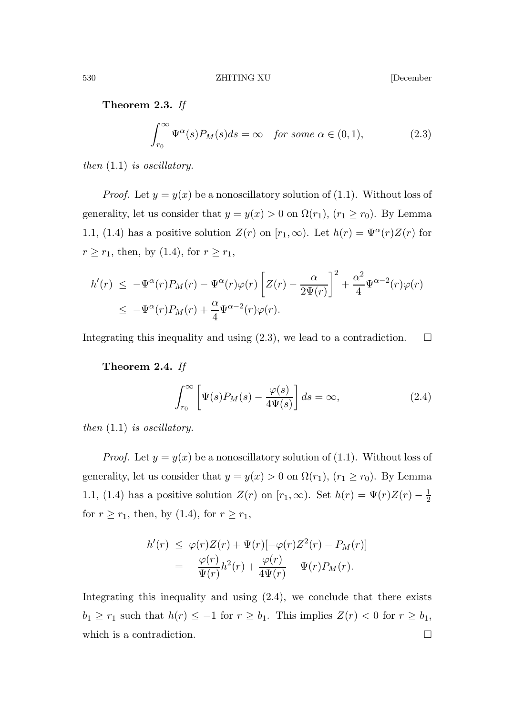Theorem 2.3. If

$$
\int_{r_0}^{\infty} \Psi^{\alpha}(s) P_M(s) ds = \infty \quad \text{for some } \alpha \in (0, 1), \tag{2.3}
$$

then  $(1.1)$  is oscillatory.

*Proof.* Let  $y = y(x)$  be a nonoscillatory solution of (1.1). Without loss of generality, let us consider that  $y = y(x) > 0$  on  $\Omega(r_1)$ ,  $(r_1 \ge r_0)$ . By Lemma 1.1, (1.4) has a positive solution  $Z(r)$  on  $[r_1,\infty)$ . Let  $h(r) = \Psi^{\alpha}(r)Z(r)$  for  $r \ge r_1$ , then, by (1.4), for  $r \ge r_1$ ,

$$
h'(r) \le -\Psi^{\alpha}(r)P_M(r) - \Psi^{\alpha}(r)\varphi(r)\left[Z(r) - \frac{\alpha}{2\Psi(r)}\right]^2 + \frac{\alpha^2}{4}\Psi^{\alpha-2}(r)\varphi(r)
$$
  

$$
\le -\Psi^{\alpha}(r)P_M(r) + \frac{\alpha}{4}\Psi^{\alpha-2}(r)\varphi(r).
$$

Integrating this inequality and using  $(2.3)$ , we lead to a contradiction.  $\Box$ 

Theorem 2.4. If

$$
\int_{r_0}^{\infty} \left[ \Psi(s) P_M(s) - \frac{\varphi(s)}{4\Psi(s)} \right] ds = \infty, \tag{2.4}
$$

then  $(1.1)$  is oscillatory.

*Proof.* Let  $y = y(x)$  be a nonoscillatory solution of (1.1). Without loss of generality, let us consider that  $y = y(x) > 0$  on  $\Omega(r_1)$ ,  $(r_1 \ge r_0)$ . By Lemma 1.1, (1.4) has a positive solution  $Z(r)$  on  $[r_1,\infty)$ . Set  $h(r) = \Psi(r)Z(r) - \frac{1}{2}$ for  $r \ge r_1$ , then, by (1.4), for  $r \ge r_1$ ,

$$
h'(r) \leq \varphi(r)Z(r) + \Psi(r)[-\varphi(r)Z^2(r) - P_M(r)]
$$
  
= 
$$
-\frac{\varphi(r)}{\Psi(r)}h^2(r) + \frac{\varphi(r)}{4\Psi(r)} - \Psi(r)P_M(r).
$$

Integrating this inequality and using (2.4), we conclude that there exists  $b_1 \ge r_1$  such that  $h(r) \le -1$  for  $r \ge b_1$ . This implies  $Z(r) < 0$  for  $r \ge b_1$ , which is a contradiction.  $\hfill \square$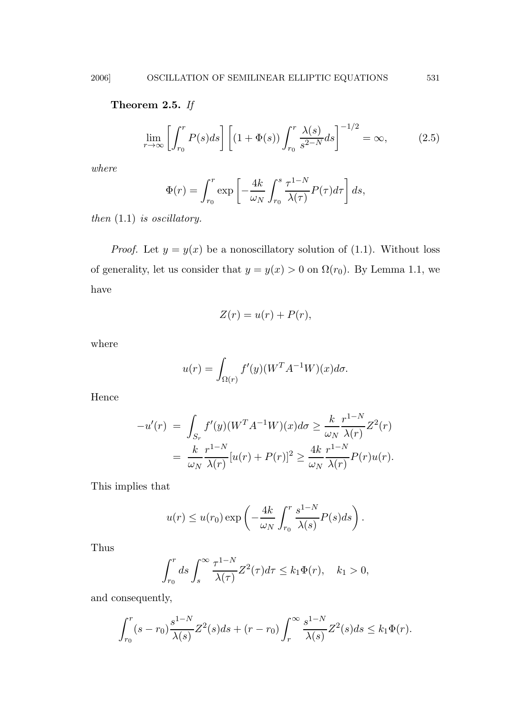# Theorem 2.5. If

$$
\lim_{r \to \infty} \left[ \int_{r_0}^r P(s) ds \right] \left[ (1 + \Phi(s)) \int_{r_0}^r \frac{\lambda(s)}{s^{2-N}} ds \right]^{-1/2} = \infty, \tag{2.5}
$$

where

$$
\Phi(r) = \int_{r_0}^r \exp\left[-\frac{4k}{\omega_N} \int_{r_0}^s \frac{\tau^{1-N}}{\lambda(\tau)} P(\tau) d\tau\right] ds,
$$

then  $(1.1)$  is oscillatory.

*Proof.* Let  $y = y(x)$  be a nonoscillatory solution of (1.1). Without loss of generality, let us consider that  $y = y(x) > 0$  on  $\Omega(r_0)$ . By Lemma 1.1, we have

$$
Z(r) = u(r) + P(r),
$$

where

$$
u(r) = \int_{\Omega(r)} f'(y) (W^T A^{-1} W)(x) d\sigma.
$$

Hence

$$
-u'(r) = \int_{S_r} f'(y)(W^T A^{-1} W)(x) d\sigma \ge \frac{k}{\omega_N} \frac{r^{1-N}}{\lambda(r)} Z^2(r)
$$
  
= 
$$
\frac{k}{\omega_N} \frac{r^{1-N}}{\lambda(r)} [u(r) + P(r)]^2 \ge \frac{4k}{\omega_N} \frac{r^{1-N}}{\lambda(r)} P(r) u(r).
$$

This implies that

$$
u(r) \le u(r_0) \exp\left(-\frac{4k}{\omega_N} \int_{r_0}^r \frac{s^{1-N}}{\lambda(s)} P(s) ds\right).
$$

Thus

$$
\int_{r_0}^r ds \int_s^{\infty} \frac{\tau^{1-N}}{\lambda(\tau)} Z^2(\tau) d\tau \le k_1 \Phi(r), \quad k_1 > 0,
$$

and consequently,

$$
\int_{r_0}^r (s-r_0) \frac{s^{1-N}}{\lambda(s)} Z^2(s) ds + (r-r_0) \int_r^{\infty} \frac{s^{1-N}}{\lambda(s)} Z^2(s) ds \le k_1 \Phi(r).
$$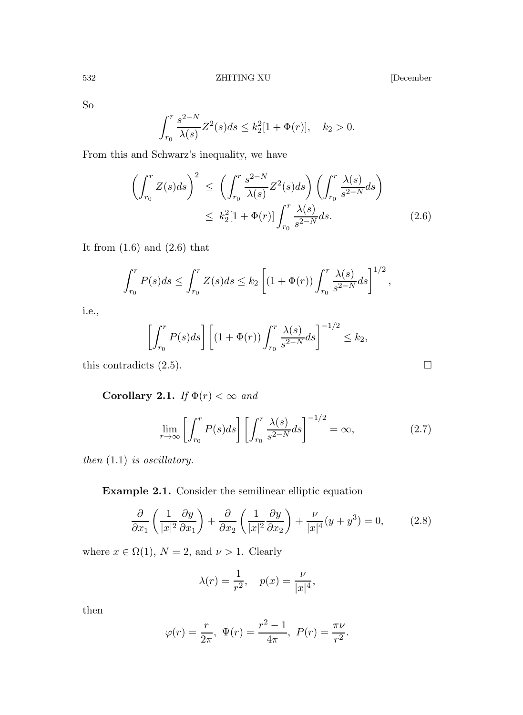So

$$
\int_{r_0}^r \frac{s^{2-N}}{\lambda(s)} Z^2(s) ds \le k_2^2 [1 + \Phi(r)], \quad k_2 > 0.
$$

From this and Schwarz's inequality, we have

$$
\left(\int_{r_0}^r Z(s)ds\right)^2 \le \left(\int_{r_0}^r \frac{s^{2-N}}{\lambda(s)} Z^2(s)ds\right) \left(\int_{r_0}^r \frac{\lambda(s)}{s^{2-N}}ds\right)
$$

$$
\le k_2^2 [1+\Phi(r)] \int_{r_0}^r \frac{\lambda(s)}{s^{2-N}}ds. \tag{2.6}
$$

It from  $(1.6)$  and  $(2.6)$  that

$$
\int_{r_0}^r P(s)ds \le \int_{r_0}^r Z(s)ds \le k_2 \left[ (1+\Phi(r)) \int_{r_0}^r \frac{\lambda(s)}{s^{2-N}} ds \right]^{1/2},
$$

i.e.,

$$
\left[\int_{r_0}^r P(s)ds\right] \left[ (1+\Phi(r))\int_{r_0}^r \frac{\lambda(s)}{s^{2-N}}ds \right]^{-1/2} \le k_2,
$$

this contradicts  $(2.5)$ .

Corollary 2.1. If  $\Phi(r) < \infty$  and

$$
\lim_{r \to \infty} \left[ \int_{r_0}^r P(s) ds \right] \left[ \int_{r_0}^r \frac{\lambda(s)}{s^{2-N}} ds \right]^{-1/2} = \infty,
$$
\n(2.7)

then  $(1.1)$  is oscillatory.

Example 2.1. Consider the semilinear elliptic equation

$$
\frac{\partial}{\partial x_1} \left( \frac{1}{|x|^2} \frac{\partial y}{\partial x_1} \right) + \frac{\partial}{\partial x_2} \left( \frac{1}{|x|^2} \frac{\partial y}{\partial x_2} \right) + \frac{\nu}{|x|^4} (y + y^3) = 0, \tag{2.8}
$$

where  $x \in \Omega(1)$ ,  $N = 2$ , and  $\nu > 1$ . Clearly

$$
\lambda(r) = \frac{1}{r^2}, \quad p(x) = \frac{\nu}{|x|^4},
$$

then

$$
\varphi(r) = \frac{r}{2\pi}, \ \Psi(r) = \frac{r^2 - 1}{4\pi}, \ P(r) = \frac{\pi \nu}{r^2}.
$$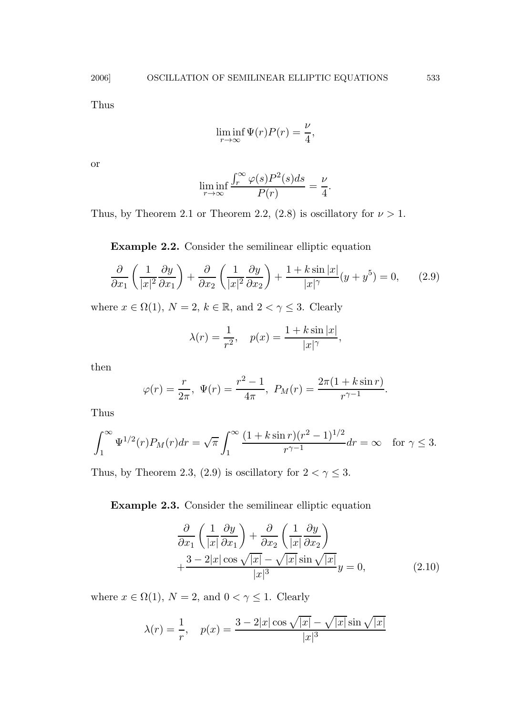Thus

$$
\liminf_{r \to \infty} \Psi(r)P(r) = \frac{\nu}{4},
$$

or

$$
\liminf_{r \to \infty} \frac{\int_r^{\infty} \varphi(s) P^2(s) ds}{P(r)} = \frac{\nu}{4}.
$$

Thus, by Theorem 2.1 or Theorem 2.2, (2.8) is oscillatory for  $\nu > 1$ .

Example 2.2. Consider the semilinear elliptic equation

$$
\frac{\partial}{\partial x_1} \left( \frac{1}{|x|^2} \frac{\partial y}{\partial x_1} \right) + \frac{\partial}{\partial x_2} \left( \frac{1}{|x|^2} \frac{\partial y}{\partial x_2} \right) + \frac{1 + k \sin |x|}{|x|^\gamma} (y + y^5) = 0, \qquad (2.9)
$$

where  $x \in \Omega(1)$ ,  $N = 2$ ,  $k \in \mathbb{R}$ , and  $2 < \gamma \leq 3$ . Clearly

$$
\lambda(r) = \frac{1}{r^2}, \quad p(x) = \frac{1 + k \sin |x|}{|x|^\gamma},
$$

then

$$
\varphi(r) = \frac{r}{2\pi}, \ \Psi(r) = \frac{r^2 - 1}{4\pi}, \ P_M(r) = \frac{2\pi(1 + k\sin r)}{r^{\gamma - 1}}.
$$

Thus

$$
\int_1^{\infty} \Psi^{1/2}(r) P_M(r) dr = \sqrt{\pi} \int_1^{\infty} \frac{(1 + k \sin r)(r^2 - 1)^{1/2}}{r^{\gamma - 1}} dr = \infty \quad \text{for } \gamma \le 3.
$$

Thus, by Theorem 2.3, (2.9) is oscillatory for  $2 < \gamma \leq 3.$ 

Example 2.3. Consider the semilinear elliptic equation

$$
\frac{\partial}{\partial x_1} \left( \frac{1}{|x|} \frac{\partial y}{\partial x_1} \right) + \frac{\partial}{\partial x_2} \left( \frac{1}{|x|} \frac{\partial y}{\partial x_2} \right) \n+ \frac{3 - 2|x| \cos \sqrt{|x|} - \sqrt{|x|} \sin \sqrt{|x|}}{|x|^3} y = 0,
$$
\n(2.10)

where  $x \in \Omega(1)$ ,  $N = 2$ , and  $0 < \gamma \leq 1$ . Clearly

$$
\lambda(r) = \frac{1}{r}, \quad p(x) = \frac{3 - 2|x| \cos \sqrt{|x|} - \sqrt{|x| \sin \sqrt{|x|}}}{|x|^3}
$$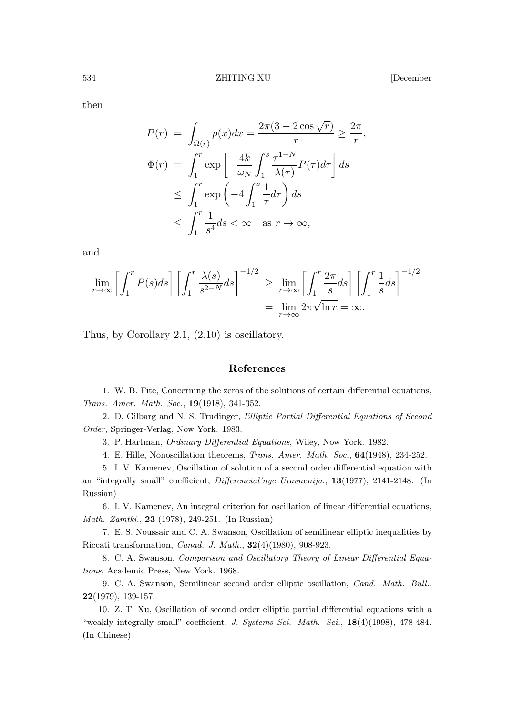then

$$
P(r) = \int_{\Omega(r)} p(x)dx = \frac{2\pi(3 - 2\cos\sqrt{r})}{r} \ge \frac{2\pi}{r},
$$
  
\n
$$
\Phi(r) = \int_1^r \exp\left[-\frac{4k}{\omega_N} \int_1^s \frac{\tau^{1-N}}{\lambda(\tau)} P(\tau) d\tau\right] ds
$$
  
\n
$$
\le \int_1^r \exp\left(-4 \int_1^s \frac{1}{\tau} d\tau\right) ds
$$
  
\n
$$
\le \int_1^r \frac{1}{s^4} ds < \infty \text{ as } r \to \infty,
$$

and

$$
\lim_{r \to \infty} \left[ \int_1^r P(s) ds \right] \left[ \int_1^r \frac{\lambda(s)}{s^{2-N}} ds \right]^{-1/2} \ge \lim_{r \to \infty} \left[ \int_1^r \frac{2\pi}{s} ds \right] \left[ \int_1^r \frac{1}{s} ds \right]^{-1/2}
$$

$$
= \lim_{r \to \infty} 2\pi \sqrt{\ln r} = \infty.
$$

Thus, by Corollary 2.1, (2.10) is oscillatory.

#### References

1. W. B. Fite, Concerning the zeros of the solutions of certain differential equations, Trans. Amer. Math. Soc., 19(1918), 341-352.

2. D. Gilbarg and N. S. Trudinger, Elliptic Partial Differential Equations of Second Order, Springer-Verlag, Now York. 1983.

3. P. Hartman, Ordinary Differential Equations, Wiley, Now York. 1982.

4. E. Hille, Nonoscillation theorems, Trans. Amer. Math. Soc., 64(1948), 234-252.

5. I. V. Kamenev, Oscillation of solution of a second order differential equation with an "integrally small" coefficient, Differencial'nye Uravnenija., 13(1977), 2141-2148. (In Russian)

6. I. V. Kamenev, An integral criterion for oscillation of linear differential equations, Math. Zamtki., 23 (1978), 249-251. (In Russian)

7. E. S. Noussair and C. A. Swanson, Oscillation of semilinear elliptic inequalities by Riccati transformation, Canad. J. Math., 32(4)(1980), 908-923.

8. C. A. Swanson, Comparison and Oscillatory Theory of Linear Differential Equations, Academic Press, New York. 1968.

9. C. A. Swanson, Semilinear second order elliptic oscillation, Cand. Math. Bull., 22(1979), 139-157.

10. Z. T. Xu, Oscillation of second order elliptic partial differential equations with a "weakly integrally small" coefficient, J. Systems Sci. Math. Sci., 18(4)(1998), 478-484. (In Chinese)